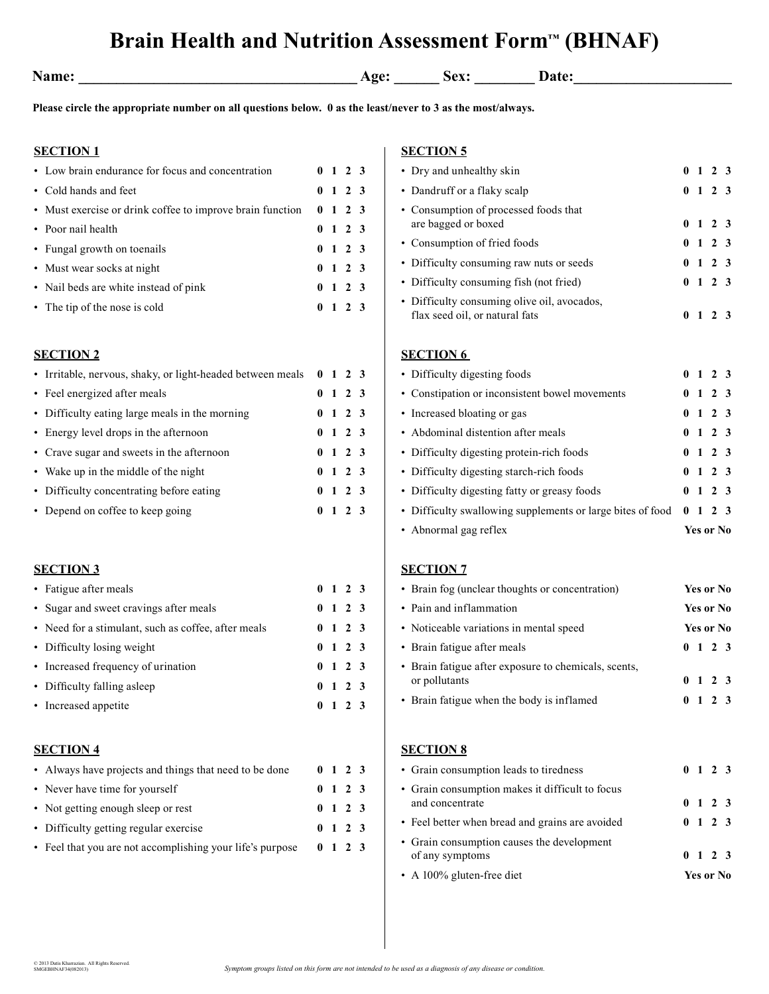# **Brain Health and Nutrition Assessment Form™ (BHNAF)**

| vame: |  |
|-------|--|
|       |  |

**Name:** Age: <u>Name: Sex: Date:</u>

## **Please circle the appropriate number on all questions below. 0 as the least/never to 3 as the most/always.**

# **SECTION 1**

| • Low brain endurance for focus and concentration         |                | $0 \t1 \t2 \t3$ |  |
|-----------------------------------------------------------|----------------|-----------------|--|
| • Cold hands and feet                                     |                | $0 \t1 \t2 \t3$ |  |
| • Must exercise or drink coffee to improve brain function |                | $0 \t1 \t2 \t3$ |  |
| • Poor nail health                                        |                | $0 \t1 \t2 \t3$ |  |
| • Fungal growth on toenails                               |                | $0 \t1 \t2 \t3$ |  |
| • Must wear socks at night                                |                | $0 \t1 \t2 \t3$ |  |
| • Nail beds are white instead of pink                     |                | $0 \t1 \t2 \t3$ |  |
| • The tip of the nose is cold                             | 0 <sub>1</sub> | 2 3             |  |

#### **SECTION 2**

| • Irritable, nervous, shaky, or light-headed between meals 0 1 2 3 |  |                 |  |
|--------------------------------------------------------------------|--|-----------------|--|
| • Feel energized after meals                                       |  | $0 \t1 \t2 \t3$ |  |
| • Difficulty eating large meals in the morning                     |  | $0 \t1 \t2 \t3$ |  |
| • Energy level drops in the afternoon                              |  | $0 \t1 \t2 \t3$ |  |
| • Crave sugar and sweets in the afternoon                          |  | $0 \t1 \t2 \t3$ |  |
| • Wake up in the middle of the night                               |  | $0 \t1 \t2 \t3$ |  |
| • Difficulty concentrating before eating                           |  | $0 \t1 \t2 \t3$ |  |
| • Depend on coffee to keep going                                   |  | $0 \t1 \t2 \t3$ |  |

### **SECTION 3**

| • Fatigue after meals                               |  | $0 \t1 \t2 \t3$ |  |
|-----------------------------------------------------|--|-----------------|--|
| • Sugar and sweet cravings after meals              |  | $0 \t1 \t2 \t3$ |  |
| • Need for a stimulant, such as coffee, after meals |  | $0 \t1 \t2 \t3$ |  |
| • Difficulty losing weight                          |  | $0 \t1 \t2 \t3$ |  |
| • Increased frequency of urination                  |  | $0 \t1 \t2 \t3$ |  |
| • Difficulty falling asleep                         |  | $0 \t1 \t2 \t3$ |  |
| • Increased appetite                                |  | $0 \t1 \t2 \t3$ |  |

#### **SECTION 4**

| • Always have projects and things that need to be done    |  | $0 \t1 \t2 \t3$ |  |
|-----------------------------------------------------------|--|-----------------|--|
| • Never have time for yourself                            |  | $0 \t1 \t2 \t3$ |  |
| • Not getting enough sleep or rest                        |  | $0 \t1 \t2 \t3$ |  |
| • Difficulty getting regular exercise                     |  | $0 \t1 \t2 \t3$ |  |
| • Feel that you are not accomplishing your life's purpose |  | $0 \t1 \t2 \t3$ |  |

## **SECTION 5**

| • Dry and unhealthy skin                                                      |  | $0 \t1 \t2 \t3$ |  |
|-------------------------------------------------------------------------------|--|-----------------|--|
| • Dandruff or a flaky scalp                                                   |  | $0 \t1 \t2 \t3$ |  |
| • Consumption of processed foods that<br>are bagged or boxed                  |  | $0 \t1 \t2 \t3$ |  |
| • Consumption of fried foods                                                  |  | $0 \t1 \t2 \t3$ |  |
| • Difficulty consuming raw nuts or seeds                                      |  | $0 \t1 \t2 \t3$ |  |
| • Difficulty consuming fish (not fried)                                       |  | $0 \t1 \t2 \t3$ |  |
| • Difficulty consuming olive oil, avocados,<br>flax seed oil, or natural fats |  | $0 \t1 \t2 \t3$ |  |
| <b>SECTION 6</b>                                                              |  |                 |  |
| • Difficulty digesting foods                                                  |  | $0 \t1 \t2 \t3$ |  |
| • Constipation or inconsistent bowel movements                                |  | $0 \t1 \t2 \t3$ |  |
| • Increased bloating or gas                                                   |  | $0 \t1 \t2 \t3$ |  |

| • Abdominal distention after meals                                                                       |  | $0 \t1 \t2 \t3$ |  |
|----------------------------------------------------------------------------------------------------------|--|-----------------|--|
| • Difficulty digesting protein-rich foods                                                                |  | $0 \t1 \t2 \t3$ |  |
| • Difficulty digesting starch-rich foods                                                                 |  | $0 \t1 \t2 \t3$ |  |
| • Difficulty digesting fatty or greasy foods                                                             |  | $0 \t1 \t2 \t3$ |  |
| • Difficulty swallowing supplements or large bites of food $\begin{pmatrix} 0 & 1 & 2 & 3 \end{pmatrix}$ |  |                 |  |

• Abnormal gag reflex **Yes or No**

## **SECTION 7**

| • Brain fog (unclear thoughts or concentration)                       | Yes or No       |
|-----------------------------------------------------------------------|-----------------|
| • Pain and inflammation                                               | Yes or No       |
| • Noticeable variations in mental speed                               | Yes or No       |
| • Brain fatigue after meals                                           | $0 \t1 \t2 \t3$ |
| • Brain fatigue after exposure to chemicals, scents,<br>or pollutants | $0 \t1 \t2 \t3$ |
| • Brain fatigue when the body is inflamed                             | $0 \t1 \t2 \t3$ |

#### **SECTION 8**

| • A 100% gluten-free diet                                          | Yes or No |                 |  |
|--------------------------------------------------------------------|-----------|-----------------|--|
| • Grain consumption causes the development<br>of any symptoms      |           | $0 \t1 \t2 \t3$ |  |
| • Feel better when bread and grains are avoided                    |           | $0 \t1 \t2 \t3$ |  |
| • Grain consumption makes it difficult to focus<br>and concentrate |           | $0 \t1 \t2 \t3$ |  |
| • Grain consumption leads to tiredness                             |           | $0 \t1 \t2 \t3$ |  |